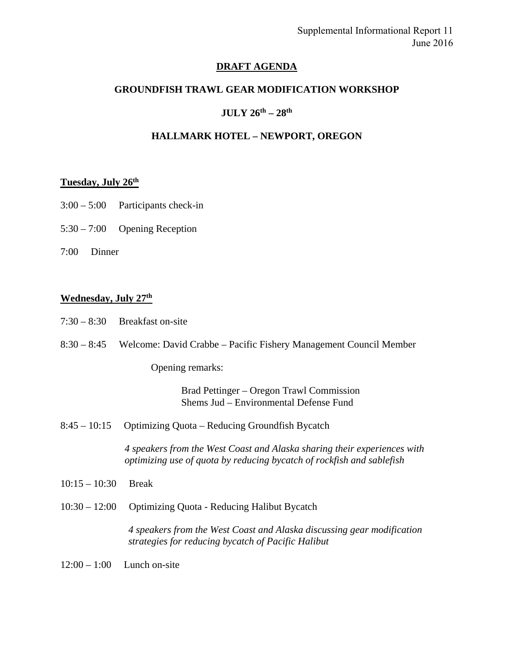## **DRAFT AGENDA**

## **GROUNDFISH TRAWL GEAR MODIFICATION WORKSHOP**

## **JULY 26th – 28th**

## **HALLMARK HOTEL – NEWPORT, OREGON**

### **Tuesday, July 26th**

- 3:00 5:00 Participants check-in
- 5:30 7:00 Opening Reception
- 7:00 Dinner

### **Wednesday, July 27th**

8:30 – 8:45 Welcome: David Crabbe – Pacific Fishery Management Council Member

Opening remarks:

Brad Pettinger – Oregon Trawl Commission Shems Jud – Environmental Defense Fund

8:45 – 10:15 Optimizing Quota – Reducing Groundfish Bycatch

*4 speakers from the West Coast and Alaska sharing their experiences with optimizing use of quota by reducing bycatch of rockfish and sablefish* 

- 10:15 10:30 Break
- 10:30 12:00 Optimizing Quota Reducing Halibut Bycatch

*4 speakers from the West Coast and Alaska discussing gear modification strategies for reducing bycatch of Pacific Halibut*

 $12:00 - 1:00$  Lunch on-site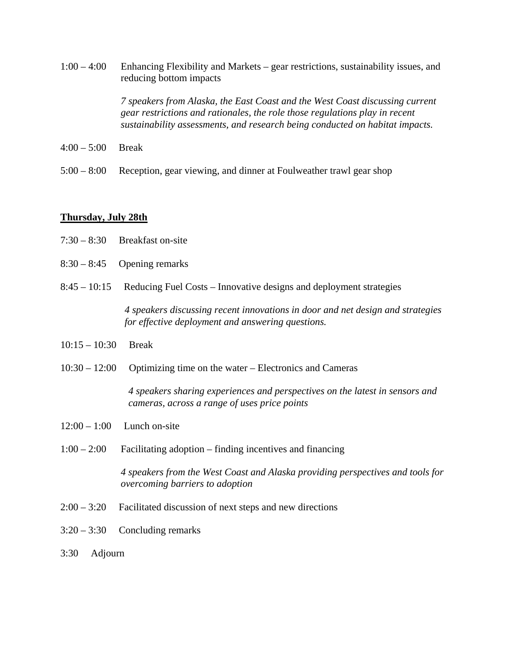1:00 – 4:00 Enhancing Flexibility and Markets – gear restrictions, sustainability issues, and reducing bottom impacts

> *7 speakers from Alaska, the East Coast and the West Coast discussing current gear restrictions and rationales, the role those regulations play in recent sustainability assessments, and research being conducted on habitat impacts.*

- 4:00 5:00 Break
- 5:00 8:00 Reception, gear viewing, and dinner at Foulweather trawl gear shop

### **Thursday, July 28th**

- 7:30 8:30 Breakfast on-site
- $8:30 8:45$  Opening remarks
- 8:45 10:15 Reducing Fuel Costs Innovative designs and deployment strategies

*4 speakers discussing recent innovations in door and net design and strategies for effective deployment and answering questions.* 

- 10:15 10:30 Break
- 10:30 12:00 Optimizing time on the water Electronics and Cameras

*4 speakers sharing experiences and perspectives on the latest in sensors and cameras, across a range of uses price points* 

- $12:00 1:00$  Lunch on-site
- 1:00 2:00 Facilitating adoption finding incentives and financing

 *4 speakers from the West Coast and Alaska providing perspectives and tools for overcoming barriers to adoption* 

- 2:00 3:20 Facilitated discussion of next steps and new directions
- 3:20 3:30 Concluding remarks
- 3:30 Adjourn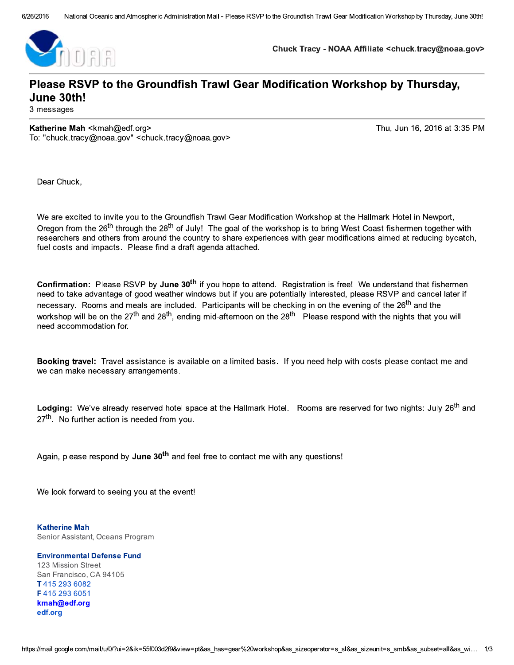

Chuck Tracy - NOAA Affiliate <chuck.tracy@noaa.gov>

# Please RSVP to the Groundfish Trawl Gear Modification Workshop by Thursday, June 30th!

3 messages

Katherine Mah <kmah@edf.org> To: "chuck.tracy@noaa.gov" <chuck.tracy@noaa.gov> Thu, Jun 16, 2016 at 3:35 PM

Dear Chuck.

We are excited to invite you to the Groundfish Trawl Gear Modification Workshop at the Hallmark Hotel in Newport, Oregon from the 26<sup>th</sup> through the 28<sup>th</sup> of July! The goal of the workshop is to bring West Coast fishermen together with researchers and others from around the country to share experiences with gear modifications aimed at reducing bycatch, fuel costs and impacts. Please find a draft agenda attached.

Confirmation: Please RSVP by June 30<sup>th</sup> if you hope to attend. Registration is free! We understand that fishermen need to take advantage of good weather windows but if you are potentially interested, please RSVP and cancel later if necessary. Rooms and meals are included. Participants will be checking in on the evening of the 26<sup>th</sup> and the workshop will be on the 27<sup>th</sup> and 28<sup>th</sup>, ending mid-afternoon on the 28<sup>th</sup>. Please respond with the nights that you will need accommodation for

Booking travel: Travel assistance is available on a limited basis. If you need help with costs please contact me and we can make necessary arrangements.

Lodging: We've already reserved hotel space at the Hallmark Hotel. Rooms are reserved for two nights: July 26<sup>th</sup> and 27<sup>th</sup>. No further action is needed from you.

Again, please respond by June 30<sup>th</sup> and feel free to contact me with any questions!

We look forward to seeing you at the event!

**Katherine Mah** Senior Assistant, Oceans Program

**Environmental Defense Fund** 123 Mission Street San Francisco, CA 94105 T4152936082 F4152936051 kmah@edf.org edf.org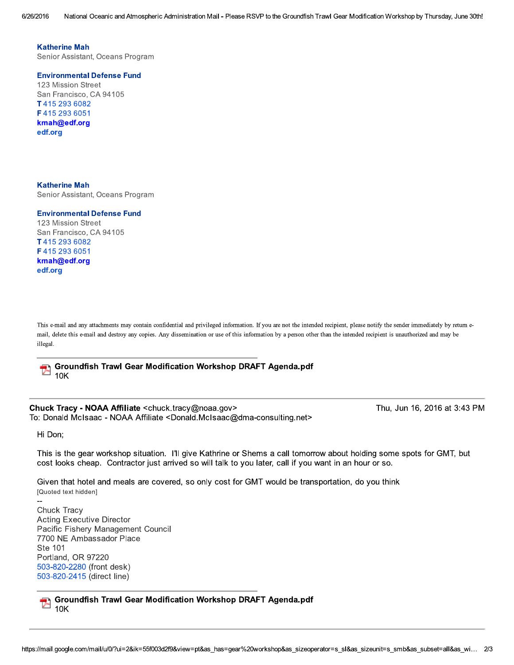6/26/2016 National Oceanic and Atmospheric Administration Mail - Please RSVP to the Groundfish Trawl Gear Modification Workshop by Thursday, June 30th!

**Katherine Mah** 

Senior Assistant, Oceans Program

**Environmental Defense Fund** 

123 Mission Street San Francisco, CA 94105 T4152936082 F4152936051 kmah@edf.org edf.org

**Katherine Mah** Senior Assistant, Oceans Program

#### **Environmental Defense Fund**

123 Mission Street San Francisco, CA 94105 T4152936082 F4152936051 kmah@edf.org edf.org

This e-mail and any attachments may contain confidential and privileged information. If you are not the intended recipient, please notify the sender immediately by return email, delete this e-mail and destroy any copies. Any dissemination or use of this information by a person other than the intended recipient is unauthorized and may be illegal.

**Groundfish Trawl Gear Modification Workshop DRAFT Agenda.pdf** V- $10K$ 

Chuck Tracy - NOAA Affiliate <chuck tracy@noaa.gov> To: Donald McIsaac - NOAA Affiliate <Donald.McIsaac@dma-consulting.net> Thu, Jun 16, 2016 at 3:43 PM

Hi Don;

This is the gear workshop situation. I'll give Kathrine or Shems a call tomorrow about holding some spots for GMT, but cost looks cheap. Contractor just arrived so will talk to you later, call if you want in an hour or so.

Given that hotel and meals are covered, so only cost for GMT would be transportation, do you think [Quoted text hidden]

Chuck Tracy **Acting Executive Director** Pacific Fishery Management Council 7700 NE Ambassador Place Ste 101 Portland, OR 97220 503-820-2280 (front desk) 503-820-2415 (direct line)

Groundfish Trawl Gear Modification Workshop DRAFT Agenda.pdf  $10K$